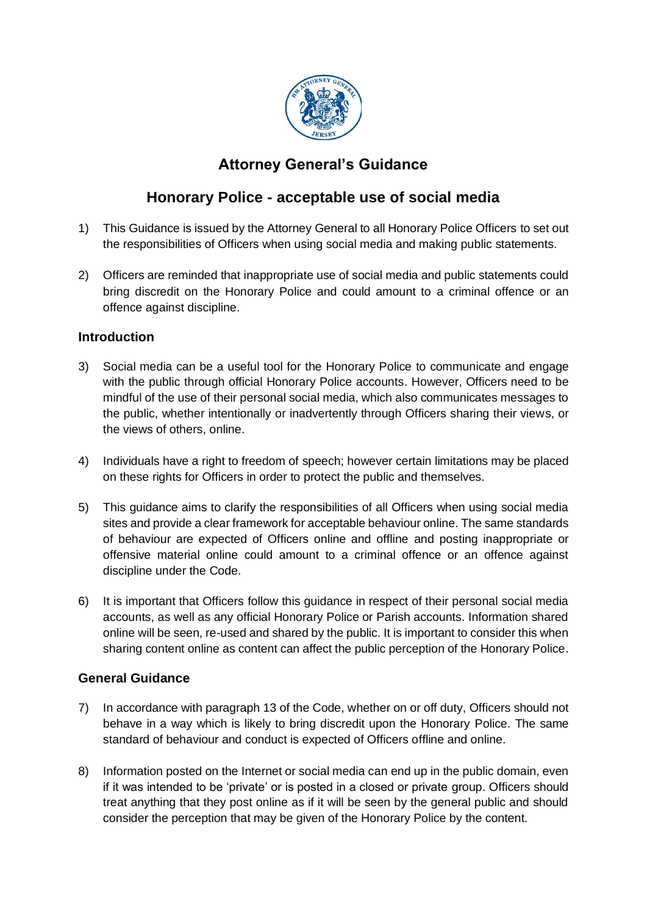

# **Attorney General's Guidance**

# **Honorary Police - acceptable use of social media**

- 1) This Guidance is issued by the Attorney General to all Honorary Police Officers to set out the responsibilities of Officers when using social media and making public statements.
- 2) Officers are reminded that inappropriate use of social media and public statements could bring discredit on the Honorary Police and could amount to a criminal offence or an offence against discipline.

### **Introduction**

- 3) Social media can be a useful tool for the Honorary Police to communicate and engage with the public through official Honorary Police accounts. However, Officers need to be mindful of the use of their personal social media, which also communicates messages to the public, whether intentionally or inadvertently through Officers sharing their views, or the views of others, online.
- 4) Individuals have a right to freedom of speech; however certain limitations may be placed on these rights for Officers in order to protect the public and themselves.
- 5) This guidance aims to clarify the responsibilities of all Officers when using social media sites and provide a clear framework for acceptable behaviour online. The same standards of behaviour are expected of Officers online and offline and posting inappropriate or offensive material online could amount to a criminal offence or an offence against discipline under the Code.
- 6) It is important that Officers follow this guidance in respect of their personal social media accounts, as well as any official Honorary Police or Parish accounts. Information shared online will be seen, re-used and shared by the public. It is important to consider this when sharing content online as content can affect the public perception of the Honorary Police.

## **General Guidance**

- 7) In accordance with paragraph 13 of the Code, whether on or off duty, Officers should not behave in a way which is likely to bring discredit upon the Honorary Police. The same standard of behaviour and conduct is expected of Officers offline and online.
- 8) Information posted on the Internet or social media can end up in the public domain, even if it was intended to be 'private' or is posted in a closed or private group. Officers should treat anything that they post online as if it will be seen by the general public and should consider the perception that may be given of the Honorary Police by the content.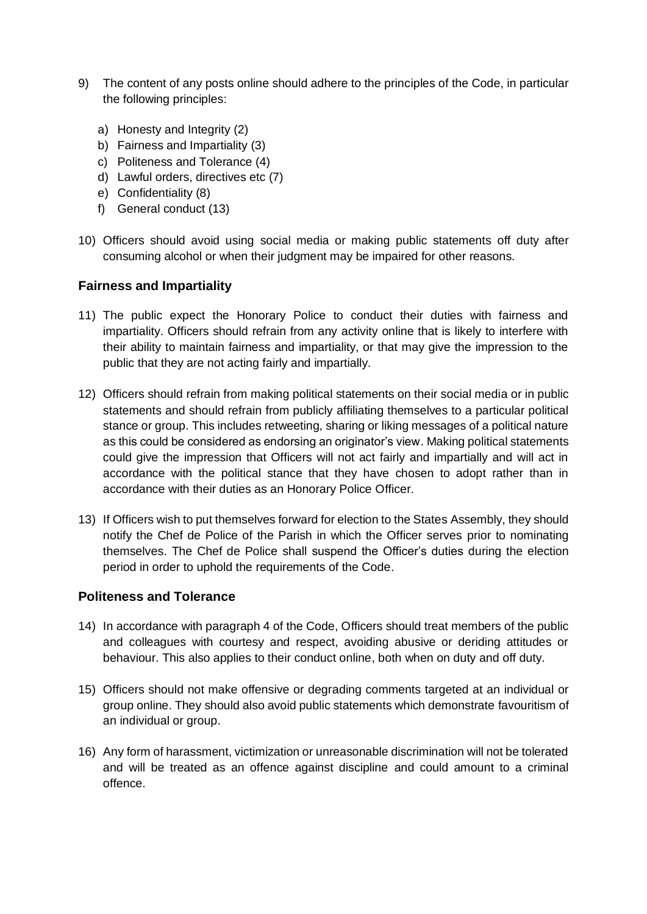- 9) The content of any posts online should adhere to the principles of the Code, in particular the following principles:
	- a) Honesty and Integrity (2)
	- b) Fairness and Impartiality (3)
	- c) Politeness and Tolerance (4)
	- d) Lawful orders, directives etc (7)
	- e) Confidentiality (8)
	- f) General conduct (13)
- 10) Officers should avoid using social media or making public statements off duty after consuming alcohol or when their judgment may be impaired for other reasons.

#### **Fairness and Impartiality**

- 11) The public expect the Honorary Police to conduct their duties with fairness and impartiality. Officers should refrain from any activity online that is likely to interfere with their ability to maintain fairness and impartiality, or that may give the impression to the public that they are not acting fairly and impartially.
- 12) Officers should refrain from making political statements on their social media or in public statements and should refrain from publicly affiliating themselves to a particular political stance or group. This includes retweeting, sharing or liking messages of a political nature as this could be considered as endorsing an originator's view. Making political statements could give the impression that Officers will not act fairly and impartially and will act in accordance with the political stance that they have chosen to adopt rather than in accordance with their duties as an Honorary Police Officer.
- 13) If Officers wish to put themselves forward for election to the States Assembly, they should notify the Chef de Police of the Parish in which the Officer serves prior to nominating themselves. The Chef de Police shall suspend the Officer's duties during the election period in order to uphold the requirements of the Code.

#### **Politeness and Tolerance**

- 14) In accordance with paragraph 4 of the Code, Officers should treat members of the public and colleagues with courtesy and respect, avoiding abusive or deriding attitudes or behaviour. This also applies to their conduct online, both when on duty and off duty.
- 15) Officers should not make offensive or degrading comments targeted at an individual or group online. They should also avoid public statements which demonstrate favouritism of an individual or group.
- 16) Any form of harassment, victimization or unreasonable discrimination will not be tolerated and will be treated as an offence against discipline and could amount to a criminal offence.